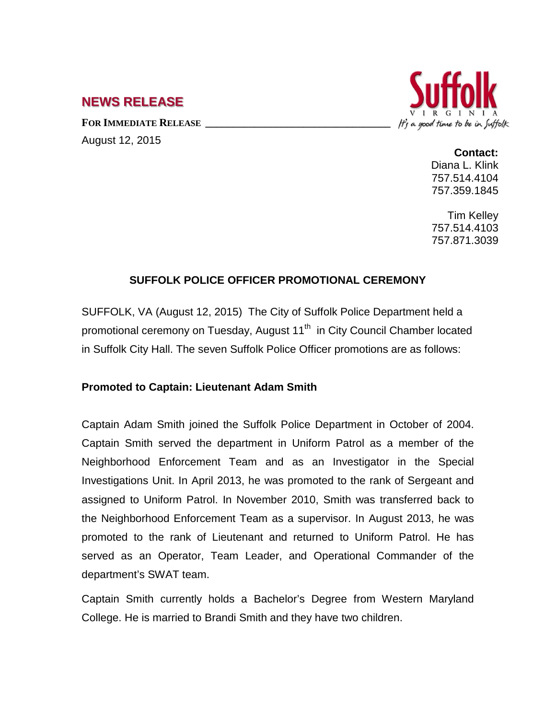# **NEWS RELEASE**

FOR **IMMEDIATE RELEASE** August 12, 2015



**Contact:** Diana L. Klink 757.514.4104 757.359.1845

Tim Kelley 757.514.4103 757.871.3039

# **SUFFOLK POLICE OFFICER PROMOTIONAL CEREMONY**

SUFFOLK, VA (August 12, 2015) The City of Suffolk Police Department held a promotional ceremony on Tuesday, August 11<sup>th</sup> in City Council Chamber located in Suffolk City Hall. The seven Suffolk Police Officer promotions are as follows:

# **Promoted to Captain: Lieutenant Adam Smith**

Captain Adam Smith joined the Suffolk Police Department in October of 2004. Captain Smith served the department in Uniform Patrol as a member of the Neighborhood Enforcement Team and as an Investigator in the Special Investigations Unit. In April 2013, he was promoted to the rank of Sergeant and assigned to Uniform Patrol. In November 2010, Smith was transferred back to the Neighborhood Enforcement Team as a supervisor. In August 2013, he was promoted to the rank of Lieutenant and returned to Uniform Patrol. He has served as an Operator, Team Leader, and Operational Commander of the department's SWAT team.

Captain Smith currently holds a Bachelor's Degree from Western Maryland College. He is married to Brandi Smith and they have two children.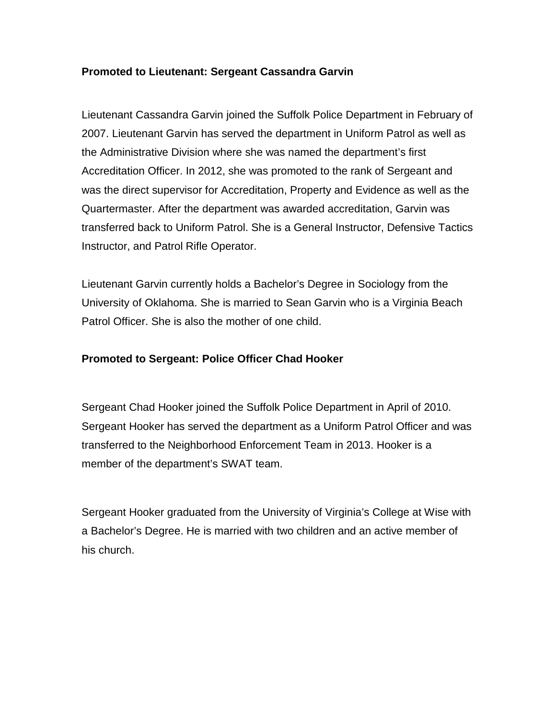## **Promoted to Lieutenant: Sergeant Cassandra Garvin**

Lieutenant Cassandra Garvin joined the Suffolk Police Department in February of 2007. Lieutenant Garvin has served the department in Uniform Patrol as well as the Administrative Division where she was named the department's first Accreditation Officer. In 2012, she was promoted to the rank of Sergeant and was the direct supervisor for Accreditation, Property and Evidence as well as the Quartermaster. After the department was awarded accreditation, Garvin was transferred back to Uniform Patrol. She is a General Instructor, Defensive Tactics Instructor, and Patrol Rifle Operator.

Lieutenant Garvin currently holds a Bachelor's Degree in Sociology from the University of Oklahoma. She is married to Sean Garvin who is a Virginia Beach Patrol Officer. She is also the mother of one child.

## **Promoted to Sergeant: Police Officer Chad Hooker**

Sergeant Chad Hooker joined the Suffolk Police Department in April of 2010. Sergeant Hooker has served the department as a Uniform Patrol Officer and was transferred to the Neighborhood Enforcement Team in 2013. Hooker is a member of the department's SWAT team.

Sergeant Hooker graduated from the University of Virginia's College at Wise with a Bachelor's Degree. He is married with two children and an active member of his church.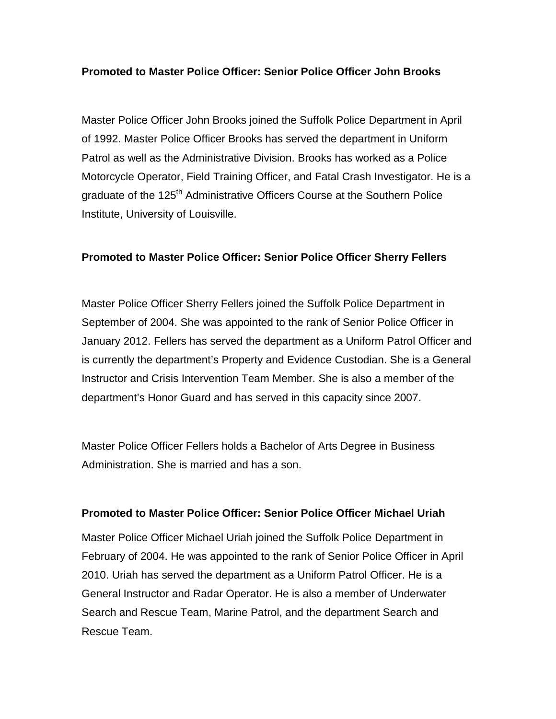## **Promoted to Master Police Officer: Senior Police Officer John Brooks**

Master Police Officer John Brooks joined the Suffolk Police Department in April of 1992. Master Police Officer Brooks has served the department in Uniform Patrol as well as the Administrative Division. Brooks has worked as a Police Motorcycle Operator, Field Training Officer, and Fatal Crash Investigator. He is a graduate of the 125<sup>th</sup> Administrative Officers Course at the Southern Police Institute, University of Louisville.

## **Promoted to Master Police Officer: Senior Police Officer Sherry Fellers**

Master Police Officer Sherry Fellers joined the Suffolk Police Department in September of 2004. She was appointed to the rank of Senior Police Officer in January 2012. Fellers has served the department as a Uniform Patrol Officer and is currently the department's Property and Evidence Custodian. She is a General Instructor and Crisis Intervention Team Member. She is also a member of the department's Honor Guard and has served in this capacity since 2007.

Master Police Officer Fellers holds a Bachelor of Arts Degree in Business Administration. She is married and has a son.

#### **Promoted to Master Police Officer: Senior Police Officer Michael Uriah**

Master Police Officer Michael Uriah joined the Suffolk Police Department in February of 2004. He was appointed to the rank of Senior Police Officer in April 2010. Uriah has served the department as a Uniform Patrol Officer. He is a General Instructor and Radar Operator. He is also a member of Underwater Search and Rescue Team, Marine Patrol, and the department Search and Rescue Team.